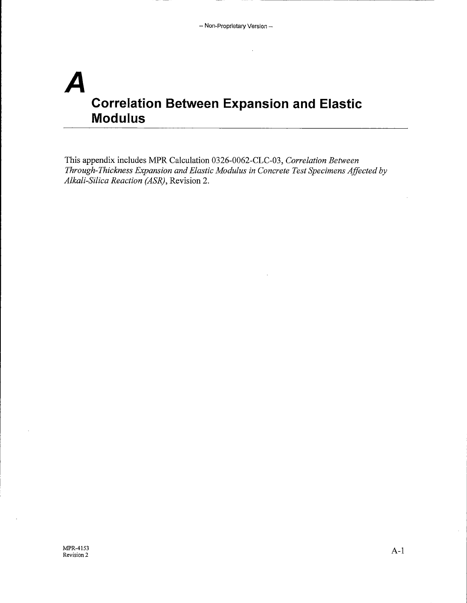# **A Correlation Between Expansion and Elastic Modulus**

This appendix includes MPR Calculation 0326-0062-CLC-03, *Correlation Between Through-Thickness Expansion and Elastic Modulus in Concrete Test Specimens Affected by Alkali-Silica Reaction (ASR),* Revision 2.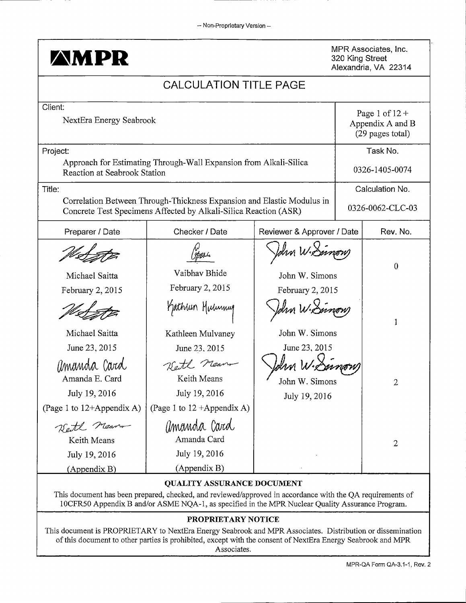| <b>AMPR</b>                                                                 |                                                                                                                                            |                                                | 320 King Street | MPR Associates, Inc.<br>Alexandria, VA 22314             |
|-----------------------------------------------------------------------------|--------------------------------------------------------------------------------------------------------------------------------------------|------------------------------------------------|-----------------|----------------------------------------------------------|
|                                                                             | <b>CALCULATION TITLE PAGE</b>                                                                                                              |                                                |                 |                                                          |
| Client:<br>NextEra Energy Seabrook                                          |                                                                                                                                            |                                                |                 | Page 1 of $12 +$<br>Appendix A and B<br>(29 pages total) |
| Project:<br>Reaction at Seabrook Station                                    | Approach for Estimating Through-Wall Expansion from Alkali-Silica                                                                          |                                                |                 | Task No.<br>0326-1405-0074                               |
| Title:                                                                      | Correlation Between Through-Thickness Expansion and Elastic Modulus in<br>Concrete Test Specimens Affected by Alkali-Silica Reaction (ASR) |                                                |                 | Calculation No.<br>0326-0062-CLC-03                      |
| Preparer / Date                                                             | Checker / Date                                                                                                                             | Reviewer & Approver / Date                     |                 | Rev. No.                                                 |
| Michael Saitta<br>February 2, 2015                                          | Vaibhav Bhide<br>February 2, 2015                                                                                                          | John Wie<br>John W. Simons<br>February 2, 2015 |                 | $\bf{0}$                                                 |
| Michael Saitta<br>June 23, 2015                                             | Kathun Muhumug<br>Kathleen Mulvaney<br>June 23, 2015                                                                                       | John W. Simons<br>June 23, 2015                |                 | 1                                                        |
| amanda Card<br>Amanda E. Card<br>July 19, 2016<br>(Page 1 to 12+Appendix A) | Kett near<br>Keith Means<br>July 19, 2016<br>(Page 1 to $12 +$ Appendix A)                                                                 | John W. Simons<br>July 19, 2016                |                 | $\overline{2}$                                           |
| Kett near<br>Keith Means<br>July 19, 2016<br>(Appendix B)                   | amanda Card<br>Amanda Card<br>July 19, 2016<br>(Appendix B)                                                                                |                                                |                 | $\mathbf{2}$                                             |

#### QUALITY ASSURANCE DOCUMENT

This document has been prepared, checked, and reviewed/approved in accordance with the QA requirements of 10CFR50 Appendix Band/or ASME NQA-1, as specified in the MPR Nuclear Quality Assurance Program.

#### PROPRIETARY NOTICE

This document is PROPRIETARY to NextEra Energy Seabrook and MPR Associates. Distribution or dissemination of this document to other parties is prohibited, except with the consent of NextEra Energy Seabrook and MPR Associates.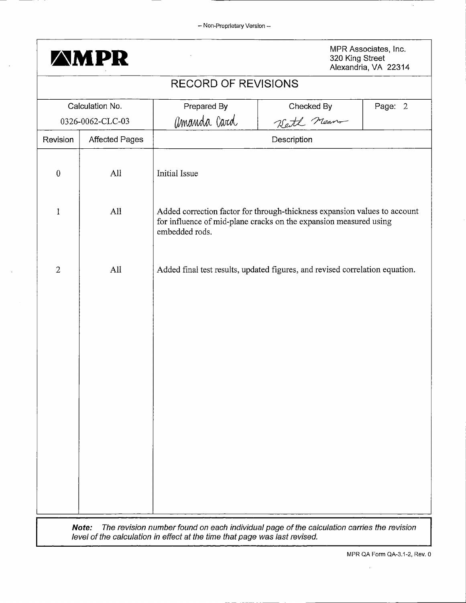- Non-Proprietary Version --



320 King Street Alexandria, VA 22314

|                  |                       | <b>RECORD OF REVISIONS</b>                                                                                                                                              |                                                                                                                                                |         |
|------------------|-----------------------|-------------------------------------------------------------------------------------------------------------------------------------------------------------------------|------------------------------------------------------------------------------------------------------------------------------------------------|---------|
|                  | Calculation No.       | Prepared By                                                                                                                                                             | Checked By                                                                                                                                     | Page: 2 |
|                  | 0326-0062-CLC-03      | amanda Card                                                                                                                                                             | Kett nearn                                                                                                                                     |         |
| Revision         | <b>Affected Pages</b> |                                                                                                                                                                         | Description                                                                                                                                    |         |
| $\boldsymbol{0}$ | All                   | Initial Issue                                                                                                                                                           |                                                                                                                                                |         |
| $\mathbf{1}$     | All                   | embedded rods.                                                                                                                                                          | Added correction factor for through-thickness expansion values to account<br>for influence of mid-plane cracks on the expansion measured using |         |
| $\overline{2}$   | All                   |                                                                                                                                                                         | Added final test results, updated figures, and revised correlation equation.                                                                   |         |
|                  |                       |                                                                                                                                                                         |                                                                                                                                                |         |
|                  | Note:                 | The revision number found on each individual page of the calculation carries the revision<br>level of the calculation in effect at the time that page was last revised. |                                                                                                                                                |         |

 $\bar{\mathcal{A}}$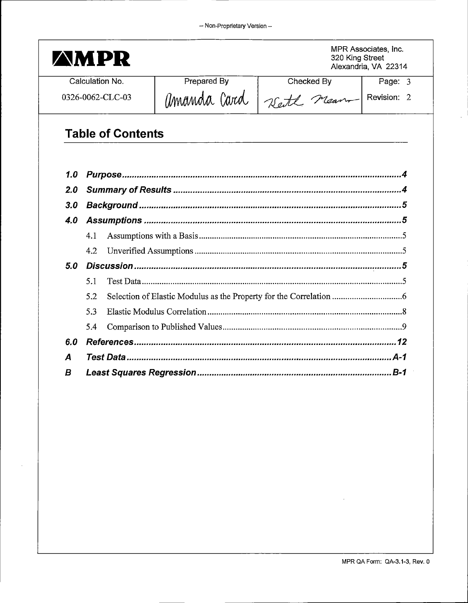|                  |     | <b>AMPR</b>              |             | 320 King Street | MPR Associates, Inc.<br>Alexandria, VA 22314 |  |
|------------------|-----|--------------------------|-------------|-----------------|----------------------------------------------|--|
|                  |     | Calculation No.          | Prepared By | Checked By      | Page: 3                                      |  |
|                  |     | 0326-0062-CLC-03         | amanda Card | Watt nearn      | Revision: 2                                  |  |
|                  |     | <b>Table of Contents</b> |             |                 |                                              |  |
| 1.0              |     |                          |             |                 |                                              |  |
| 2.0              |     |                          |             |                 |                                              |  |
| 3.0              |     |                          |             |                 |                                              |  |
| 4.0              |     |                          |             |                 |                                              |  |
|                  | 4.1 |                          |             |                 |                                              |  |
|                  | 4.2 |                          |             |                 |                                              |  |
| 5.0              |     |                          |             |                 |                                              |  |
|                  | 5.1 |                          |             |                 |                                              |  |
|                  | 5.2 |                          |             |                 |                                              |  |
|                  | 5.3 |                          |             |                 |                                              |  |
|                  | 5.4 |                          |             |                 |                                              |  |
| 6.0              |     |                          |             |                 |                                              |  |
| $\boldsymbol{A}$ |     |                          |             |                 |                                              |  |
|                  |     |                          |             |                 |                                              |  |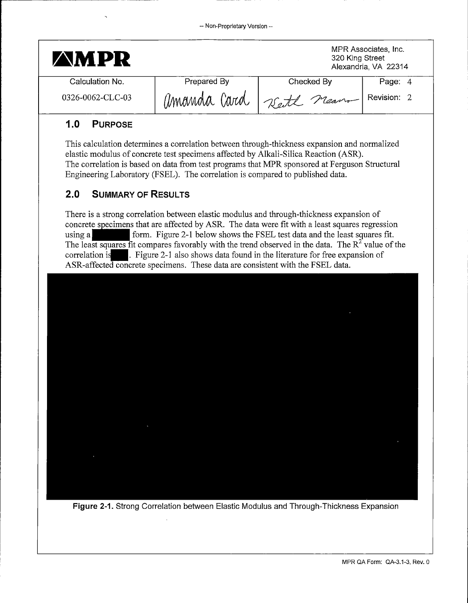| <b>AMPR</b>      |              | 320 King Street | MPR Associates, Inc.<br>Alexandria, VA 22314 |
|------------------|--------------|-----------------|----------------------------------------------|
| Calculation No.  | Prepared By  | Checked By      | Page: 4                                      |
| 0326-0062-CLC-03 | amanda Card, | Reith Meanon    | Revision: 2                                  |

# **1.0 PURPOSE**

This calculation determines a correlation between through-thickness expansion and normalized elastic modulus of concrete test specimens affected by Alkali-Silica Reaction (ASR). The correlation is based on data from test programs that MPR sponsored at Ferguson Structural Engineering Laboratory (FSEL). The correlation is compared to published data.

# **2.0 SUMMARY OF RESULTS**

There is a strong correlation between elastic modulus and through-thickness expansion of concrete specimens that are affected by ASR. The data were fit with a least squares regression There is a strong correlation between elastic modulus and through-thickness expansion of concrete specimens that are affected by ASR. The data were fit with a least squares regression using a form. Figure 2-1 below shows using a<br>
Form. Figure 2-1 below shows the FSEL test data and the least squares f<br>
The least squares fit compares favorably with the trend observed in the data. The  $R^2$  value of<br>
correlation is<br>
ASP-affected concrete spe ASR-affected concrete specimens. These data are consistent with the FSEL data.



**Figure 2-1.** Strong Correlation between Elastic Modulus and Through-Thickness Expansion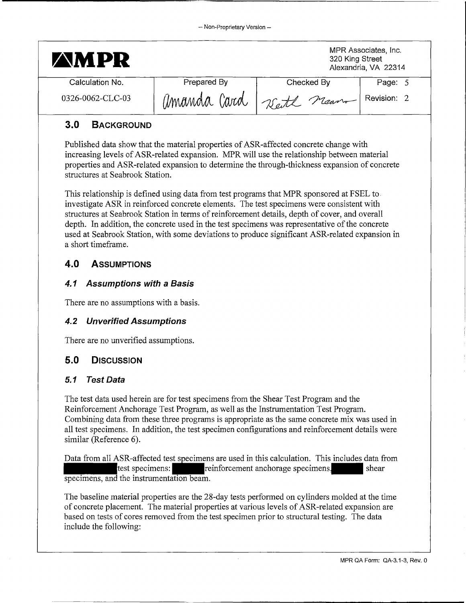| <b>AMPR</b>      |              |             | MPR Associates, Inc.<br>320 King Street<br>Alexandria, VA 22314 |  |
|------------------|--------------|-------------|-----------------------------------------------------------------|--|
| Calculation No.  | Prepared By  | Checked By  | Page: 5                                                         |  |
| 0326-0062-CLC-03 | amanda Card, | Kett neare, | Revision: 2                                                     |  |

# **3.0 BACKGROUND**

Published data show that the material properties of ASR-affected concrete change with increasing levels of ASR-related expansion. MPR will use the relationship between material properties and ASR-related expansion to determine the through-thickness expansion of concrete structures at Seabrook Station.

This relationship is defined using data from test programs that MPR sponsored at FSEL to investigate ASR in reinforced concrete elements. The test specimens were consistent with structures at Seabrook Station in terms of reinforcement details, depth of cover, and overall depth. In addition, the concrete used in the test specimens was representative of the concrete used at Seabrook Station, with some deviations to produce significant ASR-related expansion in a short timeframe.

# **4.0 ASSUMPTIONS**

#### **4. 1 Assumptions with a Basis**

There are no assumptions with a basis.

#### **4.2 Unverified Assumptions**

There are no unverified assumptions.

### **5.0 DISCUSSION**

#### 5.1 **Test Data**

The test data used herein are for test specimens from the Shear Test Program and the Reinforcement Anchorage Test Program, as well as the Instrumentation Test Program. Combining data from these three programs is appropriate as the same concrete mix was used in all test specimens. In addition, the test specimen configurations and reinforcement details were similar (Reference 6).

Data from all ASR-affected test specimens are used in this calculation. This includes data from test specimens:  $\blacksquare$  reinforcement anchorage specimens. specimens, and the instrumentation beam.

The baseline material properties are the 28-day tests performed on cylinders molded at the time of concrete placement. The material properties at various levels of ASR-related expansion are based on tests of cores removed from the test specimen prior to structural testing. The data include the following: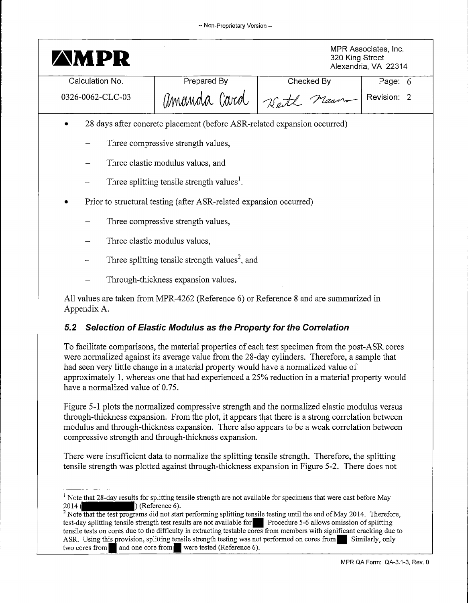| <b>AMPR</b>      |                                                                          | 320 King Street                                                                       | MPR Associates, Inc.<br>Alexandria, VA 22314 |  |  |
|------------------|--------------------------------------------------------------------------|---------------------------------------------------------------------------------------|----------------------------------------------|--|--|
| Calculation No.  | Prepared By                                                              | Checked By                                                                            | Page: 6                                      |  |  |
| 0326-0062-CLC-03 | amanda Card                                                              |                                                                                       | Revision: 2                                  |  |  |
|                  | 28 days after concrete placement (before ASR-related expansion occurred) |                                                                                       |                                              |  |  |
|                  | Three compressive strength values,                                       |                                                                                       |                                              |  |  |
|                  | Three elastic modulus values, and                                        |                                                                                       |                                              |  |  |
|                  | Three splitting tensile strength values <sup>1</sup> .                   |                                                                                       |                                              |  |  |
|                  | Prior to structural testing (after ASR-related expansion occurred)       |                                                                                       |                                              |  |  |
|                  | Three compressive strength values,                                       |                                                                                       |                                              |  |  |
|                  | Three elastic modulus values,                                            |                                                                                       |                                              |  |  |
|                  | Three splitting tensile strength values <sup>2</sup> , and               |                                                                                       |                                              |  |  |
|                  | Through-thickness expansion values.                                      |                                                                                       |                                              |  |  |
| Appendix A.      |                                                                          | All values are taken from MPR-4262 (Reference 6) or Reference 8 and are summarized in |                                              |  |  |

# **5.2 Selection of Elastic Modulus as the Property for the Correlation**

To facilitate comparisons, the material properties of each test specimen from the post-ASR cores were normalized against its average value from the 28-day cylinders. Therefore, a sample that had seen very little change in a material property would have a normalized value of approximately 1, whereas one that had experienced a 25% reduction in a material property would have a normalized value of 0.75.

Figure 5-1 plots the normalized compressive strength and the normalized elastic modulus versus through-thickness expansion. From the plot, it appears that there is a strong correlation between modulus and through-thickness expansion. There also appears to be a weak correlation between compressive strength and through-thickness expansion.

There were insufficient data to normalize the splitting tensile strength. Therefore, the splitting tensile strength was plotted against through-thickness expansion in Figure 5-2. There does not

<sup>&</sup>lt;sup>1</sup> Note that 28-day results for splitting tensile strength are not available for specimens that were cast before May 2014 (**Reference 6**).

 $2$  Note that the test programs did not start performing splitting tensile testing until the end of May 2014. Therefore, test-day splitting tensile strength test results are not available for. Procedure 5-6 allows omission of splitting tensile tests on cores due to the difficulty in extracting testable cores from members with significant cracking due to ASR. Using this provision, splitting tensile strength testing was not performed on cores from. Similarly, only two cores from and one core from were tested (Reference 6).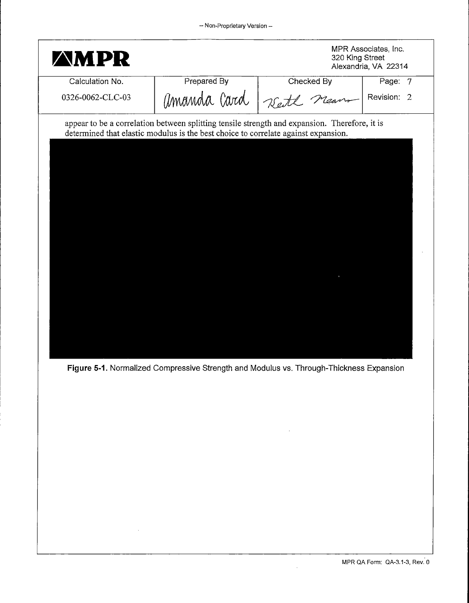| <b>AMPR</b>      |                                                                                    | 320 King Street                                                                               | MPR Associates, Inc.<br>Alexandria, VA 22314 |
|------------------|------------------------------------------------------------------------------------|-----------------------------------------------------------------------------------------------|----------------------------------------------|
| Calculation No.  | Prepared By                                                                        | Checked By                                                                                    | Page: 7                                      |
| 0326-0062-CLC-03 | amanda Card                                                                        | Kett Means                                                                                    | Revision: 2                                  |
|                  | determined that elastic modulus is the best choice to correlate against expansion. | appear to be a correlation between splitting tensile strength and expansion. Therefore, it is |                                              |

**Figure 5-1.** Normalized Compressive Strength and Modulus vs. Through-Thickness Expansion

 $\hat{\mathcal{C}}$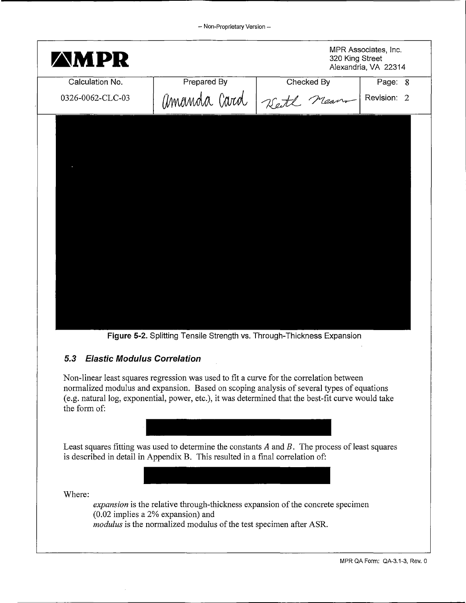| <b>AMPR</b>      |             | 320 King Street        | MPR Associates, Inc.<br>Alexandria, VA 22314 |
|------------------|-------------|------------------------|----------------------------------------------|
| Calculation No.  | Prepared By | Checked By             | Page: 8                                      |
| 0326-0062-CLC-03 |             | Amanda Card 7sete neam | Revision: 2                                  |
|                  |             |                        |                                              |
|                  |             |                        |                                              |
|                  |             |                        |                                              |
|                  |             |                        |                                              |
|                  |             |                        |                                              |
|                  |             |                        |                                              |
|                  |             |                        |                                              |
|                  |             |                        |                                              |
|                  |             |                        |                                              |

**Figure 5-2.** Splitting Tensile Strength vs. Through-Thickness Expansion

### **5.3 Elastic Modulus Correlation**

Non-linear least squares regression was used to fit a curve for the correlation between normalized modulus and expansion. Based on scoping analysis of several types of equations (e.g. natural log, exponential, power, etc.), it was determined that the best-fit curve would take the form of:



Least squares fitting was used to determine the constants  $A$  and  $B$ . The process of least squares is described in detail in Appendix B. This resulted in a final correlation of:

Where:

*expansion* is the relative through-thickness expansion of the concrete specimen (0.02 implies a 2% expansion) and *modulus* is the normalized modulus of the test specimen after ASR.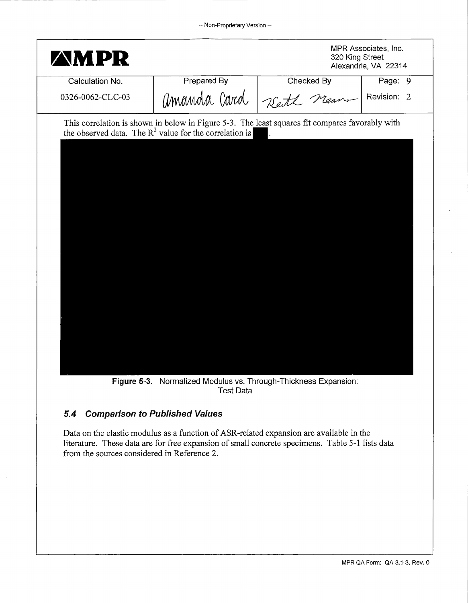| <b>AMPR</b>      |                                                           | 320 King Street                                                                                 | MPR Associates, Inc.<br>Alexandria, VA 22314 |
|------------------|-----------------------------------------------------------|-------------------------------------------------------------------------------------------------|----------------------------------------------|
| Calculation No.  | Prepared By                                               | Checked By                                                                                      | Page: 9                                      |
| 0326-0062-CLC-03 | amanda Card                                               | Keith Meano                                                                                     | Revision: 2                                  |
|                  | the observed data. The $R^2$ value for the correlation is | This correlation is shown in below in Figure 5-3. The least squares fit compares favorably with |                                              |

**Figure** 5-3. Normalized Modulus vs. Through-Thickness Expansion: Test Data

#### **5.4 Comparison** *to* **Published Values**

Data on the elastic modulus as a function of ASR-related expansion are available in the literature. These data are for free expansion of small concrete specimens. Table 5-1 lists data from the sources considered in Reference 2.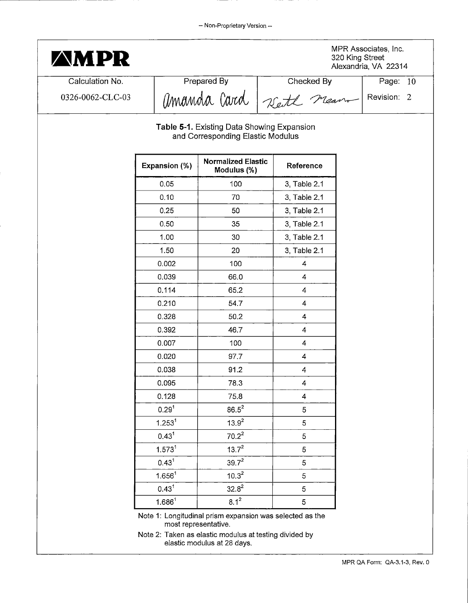| <b>AMPR</b>      |                    |                                                                                 |                          | Alexandria, VA 22314 |
|------------------|--------------------|---------------------------------------------------------------------------------|--------------------------|----------------------|
| Calculation No.  |                    | Prepared By                                                                     | Checked By               | Page: 10             |
| 0326-0062-CLC-03 |                    |                                                                                 | Amanda Card Zett neum    | Revision: 2          |
|                  |                    | Table 5-1. Existing Data Showing Expansion<br>and Corresponding Elastic Modulus |                          |                      |
|                  | Expansion (%)      | <b>Normalized Elastic</b><br>Modulus (%)                                        | Reference                |                      |
|                  | 0.05               | 100                                                                             | 3, Table 2.1             |                      |
|                  | 0.10               | 70                                                                              | 3, Table 2.1             |                      |
|                  | 0.25               | 50                                                                              | 3, Table 2.1             |                      |
|                  | 0.50               | 35                                                                              | 3, Table 2.1             |                      |
|                  | 1.00               | 30                                                                              | 3, Table 2.1             |                      |
|                  | 1.50               | 20                                                                              | 3, Table 2.1             |                      |
|                  | 0.002              | 100                                                                             | 4                        |                      |
|                  | 0.039              | 66.0                                                                            | $\overline{4}$           |                      |
|                  | 0.114              | 65.2                                                                            | $\overline{4}$           |                      |
|                  | 0.210              | 54.7                                                                            | $\overline{4}$           |                      |
|                  | 0.328              | 50.2                                                                            | 4                        |                      |
|                  | 0.392              | 46.7                                                                            | $\overline{\mathbf{4}}$  |                      |
|                  | 0.007              | 100                                                                             | 4                        |                      |
|                  | 0.020              | 97.7                                                                            | 4                        |                      |
|                  | 0.038              | 91.2                                                                            | $\overline{\mathcal{L}}$ |                      |
|                  | 0.095              | 78.3                                                                            | 4                        |                      |
|                  | 0.128              | 75.8                                                                            | $\overline{\mathbf{4}}$  |                      |
|                  | 0.29 <sup>1</sup>  | $86.5^2$                                                                        | 5                        |                      |
|                  | 1.253 <sup>1</sup> | $13.9^{2}$                                                                      | 5                        |                      |
|                  | $0.43^{1}$         | $70.2^2$                                                                        | 5                        |                      |
|                  | 1.573 <sup>1</sup> | $13.7^2$                                                                        | 5                        |                      |
|                  | $0.43^{1}$         | $39.7^{2}$                                                                      | 5                        |                      |
|                  | 1.656 <sup>1</sup> | $10.3^2$                                                                        | 5                        |                      |
|                  | $0.43^{1}$         | $32.8^2$                                                                        | 5                        |                      |
|                  | $1.686^1$          | $8.1^2$                                                                         | 5                        |                      |

Note 2: Taken as elastic modulus at testing divided by elastic modulus at 28 days.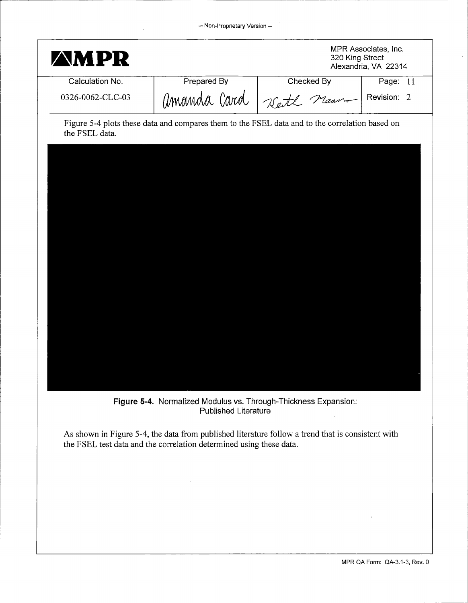| <b>AMPR</b>      |                                                                                                                                                                       | 320 King Street                                                                                                                                                                                     | MPR Associates, Inc.<br>Alexandria, VA 22314 |
|------------------|-----------------------------------------------------------------------------------------------------------------------------------------------------------------------|-----------------------------------------------------------------------------------------------------------------------------------------------------------------------------------------------------|----------------------------------------------|
| Calculation No.  | Prepared By                                                                                                                                                           | Checked By                                                                                                                                                                                          | Page: 11                                     |
| 0326-0062-CLC-03 |                                                                                                                                                                       | Amanda Card Zett neam                                                                                                                                                                               | Revision: 2                                  |
| the FSEL data.   | Figure 5-4. Normalized Modulus vs. Through-Thickness Expansion:<br><b>Published Literature</b><br>the FSEL test data and the correlation determined using these data. | Figure 5-4 plots these data and compares them to the FSEL data and to the correlation based on<br>As shown in Figure 5-4, the data from published literature follow a trend that is consistent with |                                              |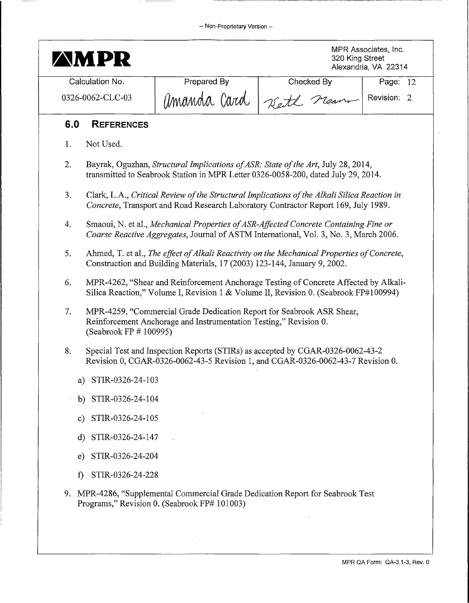| AM PR                                            |                                                                                                                                                                                    |            | 320 King Street | MPR Associates, Inc.<br>Alexandria, VA 22314 |
|--------------------------------------------------|------------------------------------------------------------------------------------------------------------------------------------------------------------------------------------|------------|-----------------|----------------------------------------------|
| Calculation No.                                  | Prepared By                                                                                                                                                                        | Checked By |                 | Page: 12                                     |
| amanda Card<br>0326-0062-CLC-03<br>Meano<br>Vett |                                                                                                                                                                                    |            | Revision: 2     |                                              |
| 6.0<br><b>REFERENCES</b>                         |                                                                                                                                                                                    |            |                 |                                              |
| Not Used.<br>1.                                  |                                                                                                                                                                                    |            |                 |                                              |
| 2.                                               | Bayrak, Oguzhan, Structural Implications of ASR: State of the Art, July 28, 2014,<br>transmitted to Seabrook Station in MPR Letter 0326-0058-200, dated July 29, 2014.             |            |                 |                                              |
| 3.                                               | Clark, L.A., Critical Review of the Structural Implications of the Alkali Silica Reaction in<br>Concrete, Transport and Road Research Laboratory Contractor Report 169, July 1989. |            |                 |                                              |
| 4.                                               | Smaoui, N. et al., Mechanical Properties of ASR-Affected Concrete Containing Fine or<br>Coarse Reactive Aggregates, Journal of ASTM International, Vol. 3, No. 3, March 2006.      |            |                 |                                              |
| 5.                                               | Ahmed, T. et al., The effect of Alkali Reactivity on the Mechanical Properties of Concrete,<br>Construction and Building Materials, 17 (2003) 123-144, January 9, 2002.            |            |                 |                                              |
| 6.                                               | MPR-4262, "Shear and Reinforcement Anchorage Testing of Concrete Affected by Alkali-<br>Silica Reaction," Volume I, Revision 1 & Volume II, Revision 0. (Seabrook FP#100994)       |            |                 |                                              |
| 7.<br>(Seabrook FP # 100995)                     | MPR-4259, "Commercial Grade Dedication Report for Seabrook ASR Shear,<br>Reinforcement Anchorage and Instrumentation Testing," Revision 0.                                         |            |                 |                                              |
| 8.                                               | Special Test and Inspection Reports (STIRs) as accepted by CGAR-0326-0062-43-2<br>Revision 0, CGAR-0326-0062-43-5 Revision 1, and CGAR-0326-0062-43-7 Revision 0.                  |            |                 |                                              |
| a) STIR-0326-24-103                              |                                                                                                                                                                                    |            |                 |                                              |
| b) STIR-0326-24-104                              |                                                                                                                                                                                    |            |                 |                                              |
| c) STIR-0326-24-105                              |                                                                                                                                                                                    |            |                 |                                              |
| d) STIR-0326-24-147                              |                                                                                                                                                                                    |            |                 |                                              |
| STIR-0326-24-204<br>e)                           |                                                                                                                                                                                    |            |                 |                                              |
| STIR-0326-24-228<br>$\mathbf{f}$                 |                                                                                                                                                                                    |            |                 |                                              |
|                                                  | 9. MPR-4286, "Supplemental Commercial Grade Dedication Report for Seabrook Test<br>Programs," Revision 0. (Seabrook FP# 101003)                                                    |            |                 |                                              |

 $\sim$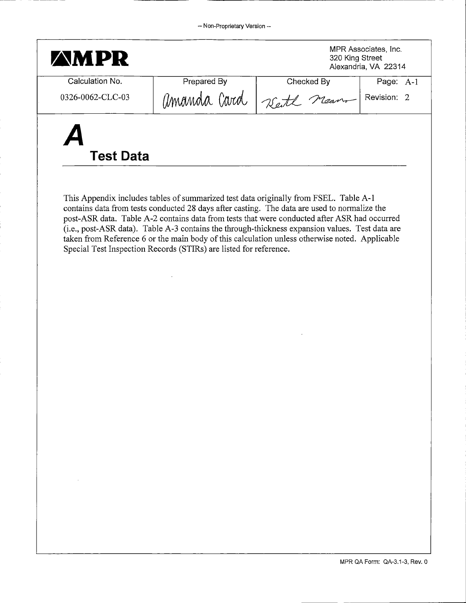| MPR Associates, Inc.<br><b>AMPR</b><br>320 King Street |             | Alexandria, VA 22314     |           |
|--------------------------------------------------------|-------------|--------------------------|-----------|
| Calculation No.                                        | Prepared By | Checked By               | Page: A-1 |
| 0326-0062-CLC-03                                       | amanda Card | Reite Meanon Revision: 2 |           |
| Ą<br><b>Test Data</b>                                  |             |                          |           |

This Appendix includes tables of summarized test data originally from FSEL. Table A-1 contains data from tests conducted 28 days after casting. The data are used to normalize the post-ASR data. Table A-2 contains data from tests that were conducted after ASR had occurred (i.e., post-ASR data). Table A-3 contains the through-thickness expansion values. Test data are taken from Reference 6 or the main body of this calculation unless otherwise noted. Applicable Special Test Inspection Records (STIRs) are listed for reference.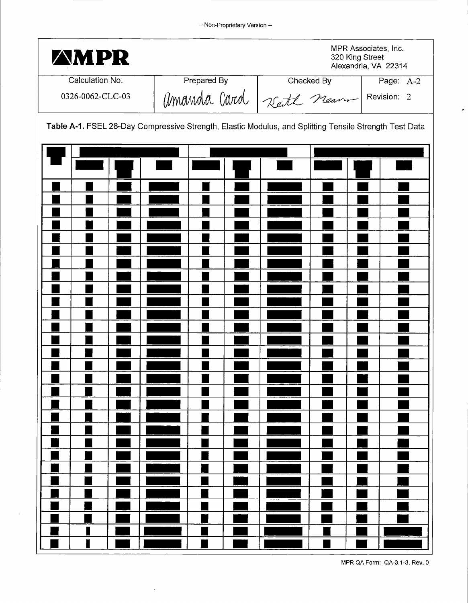| <b>AMPR</b>      |                                                                                                        | 320 King Street                                                   | MPR Associates, Inc.<br>Alexandria, VA 22314 |
|------------------|--------------------------------------------------------------------------------------------------------|-------------------------------------------------------------------|----------------------------------------------|
| Calculation No.  |                                                                                                        |                                                                   | Page: A-2                                    |
| 0326-0062-CLC-03 |                                                                                                        | Prepared By<br>Checked By<br>Page: A<br>MMMMM CNUM<br>Revision: 2 |                                              |
|                  | Table A-1. FSEL 28-Day Compressive Strength, Elastic Modulus, and Splitting Tensile Strength Test Data |                                                                   |                                              |
|                  |                                                                                                        |                                                                   |                                              |
|                  |                                                                                                        |                                                                   |                                              |
|                  |                                                                                                        |                                                                   |                                              |
|                  |                                                                                                        |                                                                   |                                              |
|                  |                                                                                                        |                                                                   |                                              |
|                  |                                                                                                        |                                                                   |                                              |
|                  |                                                                                                        |                                                                   |                                              |
| I                |                                                                                                        |                                                                   |                                              |

 $\alpha$ 

 $\bar{\beta}$ 

 $\overline{\phantom{a}}$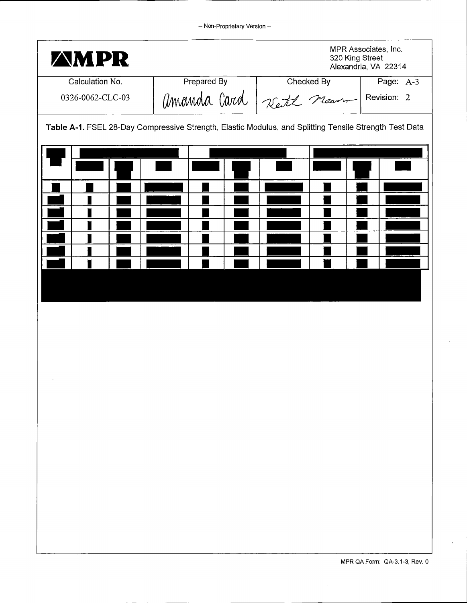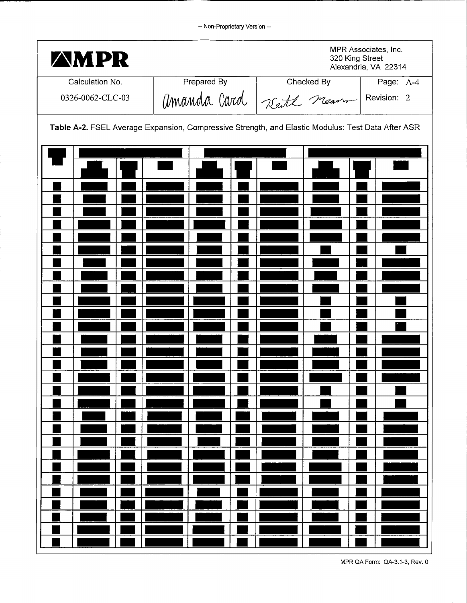| <b>AMPR</b>                                                                                       |             | 320 King Street                     | MPR Associates, Inc.<br>Alexandria, VA 22314 |
|---------------------------------------------------------------------------------------------------|-------------|-------------------------------------|----------------------------------------------|
| Calculation No.                                                                                   | Prepared By | Checked By                          | Page: A-4                                    |
| 0326-0062-CLC-03                                                                                  |             | Amanda Card Zeite neuro Revision: 2 |                                              |
| Table A-2. FSEL Average Expansion, Compressive Strength, and Elastic Modulus: Test Data After ASR |             |                                     |                                              |
|                                                                                                   |             |                                     |                                              |
|                                                                                                   |             |                                     |                                              |
|                                                                                                   |             |                                     |                                              |
|                                                                                                   |             |                                     |                                              |
|                                                                                                   |             |                                     |                                              |
|                                                                                                   |             |                                     |                                              |
|                                                                                                   |             |                                     |                                              |
|                                                                                                   |             |                                     |                                              |
|                                                                                                   |             |                                     |                                              |
|                                                                                                   |             |                                     |                                              |
|                                                                                                   |             |                                     |                                              |
|                                                                                                   |             |                                     |                                              |
|                                                                                                   |             |                                     |                                              |
|                                                                                                   |             |                                     |                                              |
|                                                                                                   |             |                                     |                                              |
|                                                                                                   |             |                                     |                                              |
|                                                                                                   |             |                                     |                                              |
|                                                                                                   |             |                                     |                                              |
|                                                                                                   |             |                                     | MPR QA Form: QA-3.1-3, Rev. 0                |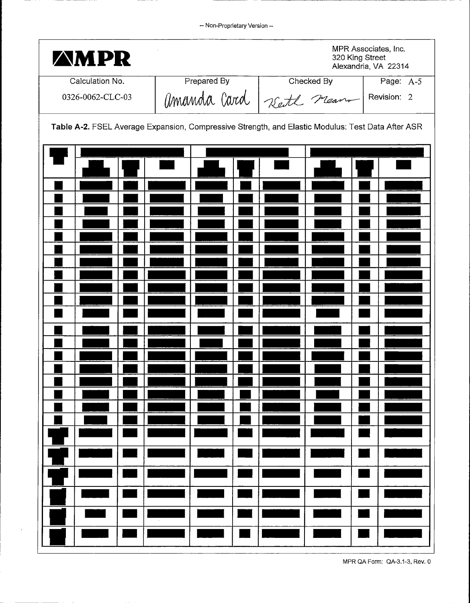| <b>AMPR</b>      |                                                                                                   | 320 King Street                    | MPR Associates, Inc.<br>Alexandria, VA 22314 |
|------------------|---------------------------------------------------------------------------------------------------|------------------------------------|----------------------------------------------|
| Calculation No.  | Prepared By                                                                                       | Checked By                         | Page: A-5                                    |
| 0326-0062-CLC-03 |                                                                                                   | Amanda Card Zett neam Prevision: 2 |                                              |
|                  | Table A-2. FSEL Average Expansion, Compressive Strength, and Elastic Modulus: Test Data After ASR |                                    |                                              |
|                  |                                                                                                   |                                    |                                              |
|                  |                                                                                                   |                                    |                                              |
|                  |                                                                                                   |                                    |                                              |
|                  |                                                                                                   |                                    |                                              |
|                  |                                                                                                   |                                    |                                              |
|                  |                                                                                                   |                                    |                                              |
|                  |                                                                                                   |                                    |                                              |
|                  |                                                                                                   |                                    |                                              |
|                  |                                                                                                   |                                    |                                              |
|                  |                                                                                                   |                                    |                                              |
|                  |                                                                                                   |                                    |                                              |
|                  |                                                                                                   |                                    |                                              |
|                  |                                                                                                   |                                    |                                              |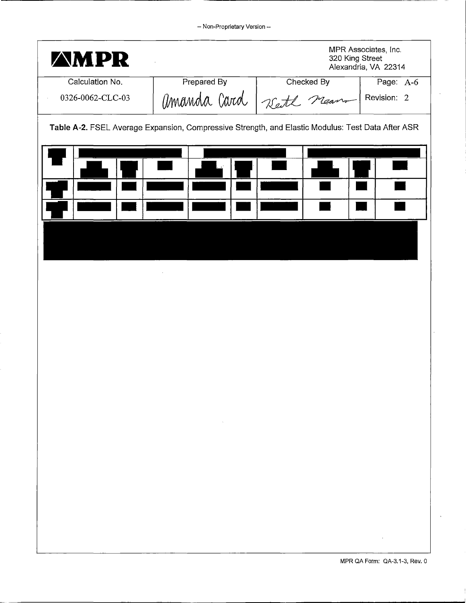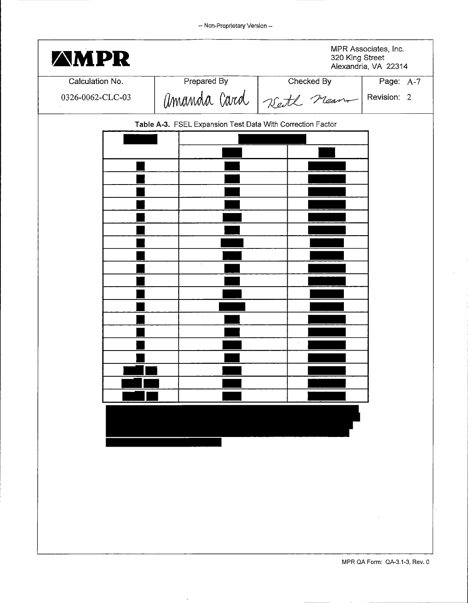| <b><i>AMPR</i></b> |                                                            |                                                      | MPR Associates, Inc.<br>320 King Street<br>Alexandria, VA 22314 |
|--------------------|------------------------------------------------------------|------------------------------------------------------|-----------------------------------------------------------------|
| Calculation No.    |                                                            |                                                      | Page: A-7                                                       |
| 0326-0062-CLC-03   |                                                            | Prepared By<br>Checked By<br>MMMMMM CATO Reite Means | Revision: 2                                                     |
|                    | Table A-3. FSEL Expansion Test Data With Correction Factor |                                                      |                                                                 |
|                    |                                                            |                                                      |                                                                 |
|                    |                                                            |                                                      |                                                                 |
|                    |                                                            |                                                      |                                                                 |
|                    |                                                            |                                                      |                                                                 |
|                    |                                                            |                                                      |                                                                 |
|                    |                                                            |                                                      |                                                                 |
|                    |                                                            |                                                      |                                                                 |
|                    | $\cdot$                                                    |                                                      |                                                                 |
|                    |                                                            |                                                      |                                                                 |
|                    |                                                            |                                                      |                                                                 |
|                    |                                                            |                                                      |                                                                 |
|                    |                                                            |                                                      |                                                                 |
|                    |                                                            |                                                      |                                                                 |
|                    |                                                            |                                                      |                                                                 |
|                    |                                                            |                                                      |                                                                 |
|                    |                                                            |                                                      |                                                                 |
|                    |                                                            |                                                      |                                                                 |
|                    |                                                            |                                                      |                                                                 |
|                    |                                                            | $\sim 0.1$                                           |                                                                 |
|                    |                                                            |                                                      |                                                                 |
|                    |                                                            |                                                      |                                                                 |
|                    |                                                            |                                                      |                                                                 |
|                    |                                                            |                                                      |                                                                 |
|                    |                                                            |                                                      |                                                                 |

 $\bar{\beta}$ 

 $\ddot{\phantom{a}}$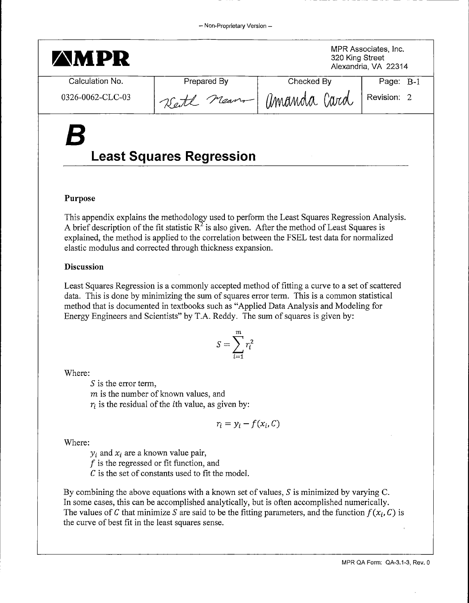#### - Non-Proprietary Version --

| <b>AMPR</b>      |                                 | MPR Associates, Inc.<br>320 King Street<br>Alexandria, VA 22314 |             |
|------------------|---------------------------------|-----------------------------------------------------------------|-------------|
| Calculation No.  | Prepared By                     | Checked By                                                      | Page: B-1   |
| 0326-0062-CLC-03 | Kett nean - amanda Card         |                                                                 | Revision: 2 |
| $\boldsymbol{B}$ | <b>Least Squares Regression</b> |                                                                 |             |

#### **Purpose**

This appendix explains the methodology used to perform the Least Squares Regression Analysis. A brief description of the fit statistic  $R^2$  is also given. After the method of Least Squares is explained, the method is applied to the correlation between the FSEL test data for normalized elastic modulus and corrected through thickness expansion.

#### **Discussion**

Least Squares Regression is a commonly accepted method of fitting a curve to a set of scattered data. This is done by minimizing the sum of squares error term. This is a common statistical method that is documented in textbooks such as "Applied Data Analysis and Modeling for Energy Engineers and Scientists" by T.A. Reddy. The sum of squares is given by:

$$
S = \sum_{i=1}^{m} r_i^2
$$

Where:

*S* is the error term,  $m$  is the number of known values, and  $r_i$  is the residual of the *i*th value, as given by:

 $r_i = y_i - f(x_i, C)$ 

Where:

 $y_i$  and  $x_i$  are a known value pair,

 $f$  is the regressed or fit function, and

*C* is the set of constants used to fit the model.

By combining the above equations with a known set of values,  $S$  is minimized by varying C. In some cases, this can be accomplished analytically, but is often accomplished numerically. The values of C that minimize S are said to be the fitting parameters, and the function  $f(x_i, C)$  is the curve of best fit in the least squares sense.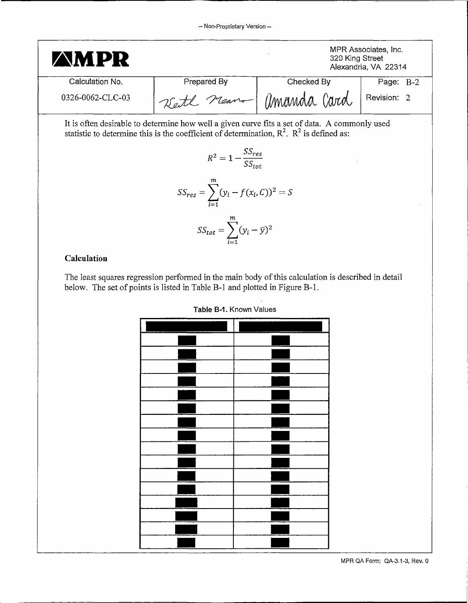

#### **Calculation**

The least squares regression performed in the main body of this calculation is described in detail below. The set of points is listed in Table B-1 and plotted in Figure B-1.

| <b>TANIC DATE INTOWER VAID OF</b> |  |  |  |  |
|-----------------------------------|--|--|--|--|
| Ļ                                 |  |  |  |  |
|                                   |  |  |  |  |
|                                   |  |  |  |  |
|                                   |  |  |  |  |
|                                   |  |  |  |  |
|                                   |  |  |  |  |
|                                   |  |  |  |  |
|                                   |  |  |  |  |
|                                   |  |  |  |  |
|                                   |  |  |  |  |
|                                   |  |  |  |  |
|                                   |  |  |  |  |
|                                   |  |  |  |  |
|                                   |  |  |  |  |
|                                   |  |  |  |  |
|                                   |  |  |  |  |
|                                   |  |  |  |  |
|                                   |  |  |  |  |

**Table B-1.** Known Values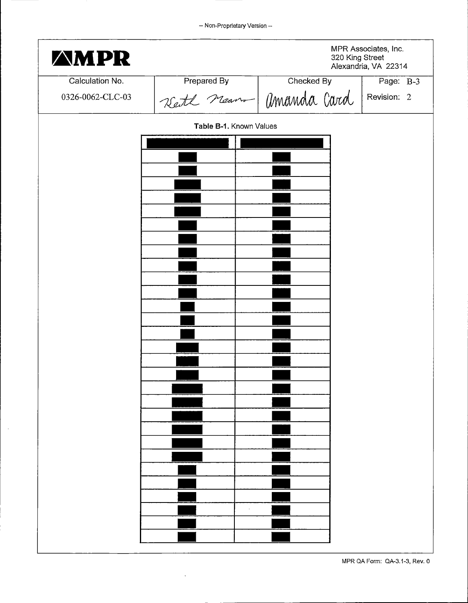-- Non-Proprietary Version --

| <b>AMPR</b>      |                         |                       | MPR Associates, Inc.<br>320 King Street<br>Alexandria, VA 22314 |
|------------------|-------------------------|-----------------------|-----------------------------------------------------------------|
| Calculation No.  | Prepared By             | Checked By            | Page: B-3                                                       |
| 0326-0062-CLC-03 |                         | Kett near Mmanda Card | Revision: 2                                                     |
|                  | Table B-1. Known Values |                       |                                                                 |
|                  |                         |                       |                                                                 |
|                  |                         |                       |                                                                 |
|                  |                         |                       |                                                                 |
|                  |                         |                       |                                                                 |
|                  |                         |                       |                                                                 |
|                  |                         |                       |                                                                 |
|                  |                         |                       |                                                                 |
|                  |                         |                       |                                                                 |
|                  |                         |                       |                                                                 |
|                  |                         |                       |                                                                 |
|                  |                         |                       |                                                                 |
|                  |                         |                       |                                                                 |
|                  |                         |                       |                                                                 |
|                  |                         |                       |                                                                 |
|                  |                         |                       |                                                                 |
|                  |                         |                       |                                                                 |
|                  |                         |                       |                                                                 |
|                  |                         |                       |                                                                 |
|                  |                         |                       |                                                                 |
|                  |                         |                       |                                                                 |
|                  |                         |                       |                                                                 |
|                  |                         |                       |                                                                 |
|                  |                         |                       |                                                                 |
|                  |                         |                       |                                                                 |
|                  |                         |                       |                                                                 |
|                  |                         |                       |                                                                 |

 $\hat{\mathcal{A}}$ 

 $\bar{\beta}$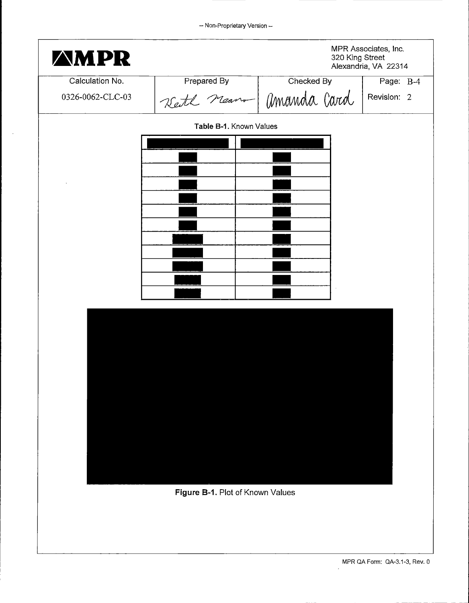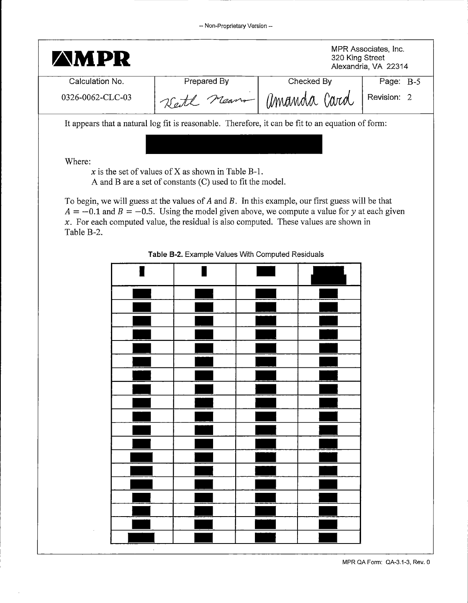| <b>AMPR</b>      |                                                                                                                 |                                                                                                                                                                                                         | MPR Associates, Inc.<br>320 King Street<br>Alexandria, VA 22314 |
|------------------|-----------------------------------------------------------------------------------------------------------------|---------------------------------------------------------------------------------------------------------------------------------------------------------------------------------------------------------|-----------------------------------------------------------------|
| Calculation No.  | Prepared By                                                                                                     | Checked By                                                                                                                                                                                              | Page: B-5                                                       |
| 0326-0062-CLC-03 |                                                                                                                 | Rett neam - amanda Card                                                                                                                                                                                 | Revision: 2                                                     |
|                  |                                                                                                                 | It appears that a natural log fit is reasonable. Therefore, it can be fit to an equation of form:                                                                                                       |                                                                 |
|                  |                                                                                                                 |                                                                                                                                                                                                         |                                                                 |
| Where:           |                                                                                                                 |                                                                                                                                                                                                         |                                                                 |
|                  | x is the set of values of X as shown in Table B-1.<br>A and B are a set of constants (C) used to fit the model. |                                                                                                                                                                                                         |                                                                 |
|                  |                                                                                                                 |                                                                                                                                                                                                         |                                                                 |
|                  |                                                                                                                 | To begin, we will guess at the values of $A$ and $B$ . In this example, our first guess will be that<br>$A = -0.1$ and $B = -0.5$ . Using the model given above, we compute a value for y at each given |                                                                 |
|                  |                                                                                                                 | $x$ . For each computed value, the residual is also computed. These values are shown in                                                                                                                 |                                                                 |
| Table B-2.       |                                                                                                                 |                                                                                                                                                                                                         |                                                                 |
|                  | Table B-2. Example Values With Computed Residuals                                                               |                                                                                                                                                                                                         |                                                                 |
|                  |                                                                                                                 |                                                                                                                                                                                                         |                                                                 |
|                  |                                                                                                                 |                                                                                                                                                                                                         |                                                                 |
|                  |                                                                                                                 |                                                                                                                                                                                                         |                                                                 |
|                  |                                                                                                                 |                                                                                                                                                                                                         |                                                                 |
|                  |                                                                                                                 |                                                                                                                                                                                                         |                                                                 |
|                  |                                                                                                                 |                                                                                                                                                                                                         |                                                                 |
|                  |                                                                                                                 |                                                                                                                                                                                                         |                                                                 |
|                  |                                                                                                                 |                                                                                                                                                                                                         |                                                                 |
|                  |                                                                                                                 |                                                                                                                                                                                                         |                                                                 |
|                  |                                                                                                                 |                                                                                                                                                                                                         |                                                                 |
|                  |                                                                                                                 |                                                                                                                                                                                                         |                                                                 |
|                  |                                                                                                                 |                                                                                                                                                                                                         |                                                                 |
|                  |                                                                                                                 |                                                                                                                                                                                                         |                                                                 |
|                  |                                                                                                                 |                                                                                                                                                                                                         |                                                                 |
|                  |                                                                                                                 |                                                                                                                                                                                                         |                                                                 |
|                  |                                                                                                                 |                                                                                                                                                                                                         |                                                                 |
|                  |                                                                                                                 |                                                                                                                                                                                                         |                                                                 |
|                  |                                                                                                                 |                                                                                                                                                                                                         |                                                                 |
|                  |                                                                                                                 |                                                                                                                                                                                                         |                                                                 |
|                  |                                                                                                                 |                                                                                                                                                                                                         |                                                                 |

MPR QA Form: QA-3.1-3, Rev. 0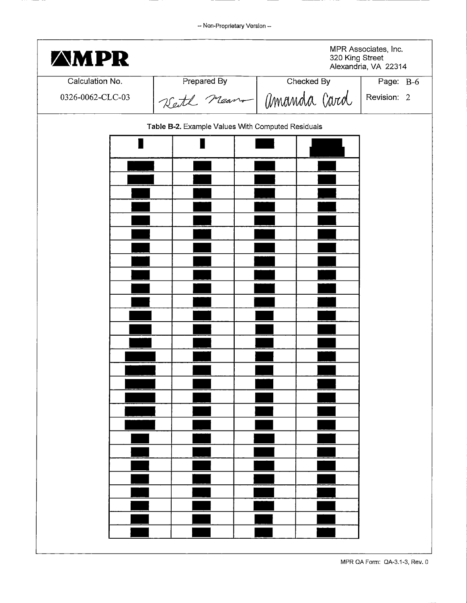| <b><i>AMPR</i></b> | MPR Associates, Inc.<br>320 King Street<br>Alexandria, VA 22314 |            |             |  |
|--------------------|-----------------------------------------------------------------|------------|-------------|--|
| Calculation No.    | Prepared By                                                     | Checked By | Page: B-6   |  |
| 0326-0062-CLC-03   | Kett near Momanda Card                                          |            | Revision: 2 |  |
|                    | Table B-2. Example Values With Computed Residuals               |            |             |  |
|                    |                                                                 |            |             |  |
|                    |                                                                 |            |             |  |
|                    |                                                                 |            |             |  |
|                    |                                                                 |            |             |  |
|                    |                                                                 |            |             |  |
|                    |                                                                 |            |             |  |
|                    |                                                                 |            |             |  |
|                    |                                                                 |            |             |  |
|                    |                                                                 |            |             |  |
|                    |                                                                 |            |             |  |
|                    |                                                                 |            |             |  |
|                    |                                                                 |            |             |  |
|                    |                                                                 |            |             |  |
|                    |                                                                 |            |             |  |
|                    |                                                                 |            |             |  |
|                    |                                                                 |            |             |  |
|                    |                                                                 |            |             |  |
|                    |                                                                 |            |             |  |
|                    |                                                                 |            |             |  |
|                    |                                                                 |            |             |  |
|                    |                                                                 |            |             |  |
|                    |                                                                 |            |             |  |
|                    |                                                                 |            |             |  |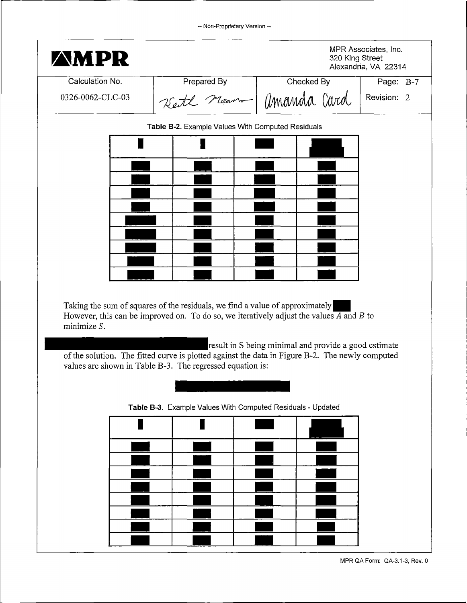| <b>AMPR</b>      |                                                                                                                                                                                                   |                                                       | MPR Associates, Inc.<br>320 King Street<br>Alexandria, VA 22314 |
|------------------|---------------------------------------------------------------------------------------------------------------------------------------------------------------------------------------------------|-------------------------------------------------------|-----------------------------------------------------------------|
| Calculation No.  | Prepared By                                                                                                                                                                                       | Checked By                                            | Page: B-7                                                       |
| 0326-0062-CLC-03 |                                                                                                                                                                                                   | Kett near Monamda Card                                | Revision: 2                                                     |
|                  | Table B-2. Example Values With Computed Residuals                                                                                                                                                 |                                                       |                                                                 |
|                  |                                                                                                                                                                                                   |                                                       |                                                                 |
|                  |                                                                                                                                                                                                   |                                                       |                                                                 |
|                  |                                                                                                                                                                                                   |                                                       |                                                                 |
|                  |                                                                                                                                                                                                   |                                                       |                                                                 |
|                  |                                                                                                                                                                                                   |                                                       |                                                                 |
|                  |                                                                                                                                                                                                   |                                                       |                                                                 |
|                  |                                                                                                                                                                                                   |                                                       |                                                                 |
|                  |                                                                                                                                                                                                   |                                                       |                                                                 |
|                  | Taking the sum of squares of the residuals, we find a value of approximately<br>However, this can be improved on. To do so, we iteratively adjust the values $\overline{A}$ and $\overline{B}$ to |                                                       |                                                                 |
| minimize $S$ .   | of the solution. The fitted curve is plotted against the data in Figure B-2. The newly computed<br>values are shown in Table B-3. The regressed equation is:                                      | result in S being minimal and provide a good estimate |                                                                 |
|                  | Table B-3. Example Values With Computed Residuals - Updated                                                                                                                                       |                                                       |                                                                 |
|                  |                                                                                                                                                                                                   |                                                       |                                                                 |
|                  |                                                                                                                                                                                                   |                                                       |                                                                 |
|                  |                                                                                                                                                                                                   |                                                       |                                                                 |
|                  |                                                                                                                                                                                                   |                                                       |                                                                 |
|                  |                                                                                                                                                                                                   |                                                       |                                                                 |
|                  |                                                                                                                                                                                                   |                                                       |                                                                 |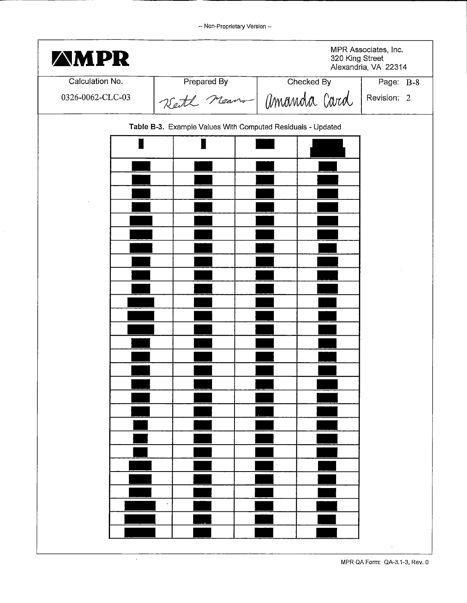| <b>AMPR</b>      |                                                             | 320 King Street | MPR Associates, Inc.<br>Alexandria, VA 22314 |
|------------------|-------------------------------------------------------------|-----------------|----------------------------------------------|
| Calculation No.  | Prepared By                                                 | Checked By      | Page: B-8                                    |
| 0326-0062-CLC-03 | Kett near Monarda Card                                      |                 | Revision: 2                                  |
|                  | Table B-3. Example Values With Computed Residuals - Updated |                 |                                              |
|                  |                                                             |                 |                                              |
|                  |                                                             |                 |                                              |
|                  |                                                             |                 |                                              |
|                  |                                                             |                 |                                              |
|                  |                                                             |                 |                                              |
|                  |                                                             |                 |                                              |
|                  |                                                             |                 |                                              |
|                  |                                                             |                 |                                              |
|                  |                                                             |                 |                                              |
|                  |                                                             |                 |                                              |
|                  |                                                             |                 |                                              |
|                  |                                                             |                 |                                              |
|                  |                                                             |                 |                                              |
|                  |                                                             |                 |                                              |
|                  |                                                             |                 |                                              |
|                  |                                                             |                 |                                              |
|                  |                                                             |                 |                                              |
|                  |                                                             |                 |                                              |
|                  |                                                             |                 |                                              |
|                  |                                                             |                 |                                              |

 $\bar{z}$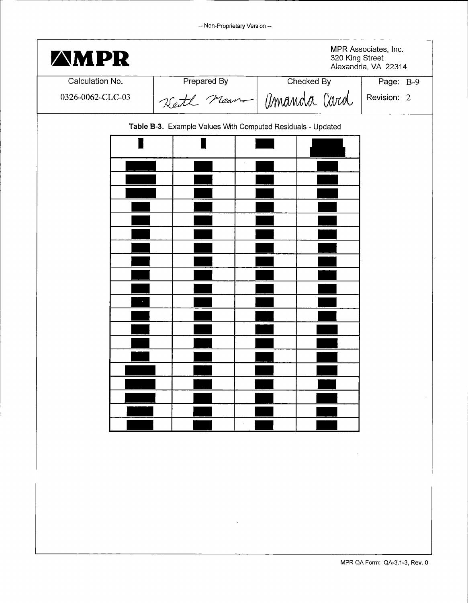| <b>AMPR</b>                                                 |             | 320 King Street         | MPR Associates, Inc.<br>Alexandria, VA 22314 |  |
|-------------------------------------------------------------|-------------|-------------------------|----------------------------------------------|--|
| Calculation No.                                             | Prepared By | Checked By              | Page: B-9                                    |  |
| 0326-0062-CLC-03                                            |             | Kett nean - Umanda Card | Revision: 2                                  |  |
| Table B-3. Example Values With Computed Residuals - Updated |             |                         |                                              |  |
|                                                             |             |                         |                                              |  |
|                                                             |             |                         |                                              |  |
|                                                             |             |                         |                                              |  |
|                                                             |             |                         |                                              |  |
|                                                             |             |                         |                                              |  |
|                                                             |             |                         |                                              |  |
|                                                             |             |                         |                                              |  |
|                                                             |             |                         |                                              |  |
|                                                             |             |                         |                                              |  |
|                                                             |             |                         |                                              |  |
|                                                             |             |                         |                                              |  |
|                                                             |             |                         |                                              |  |
|                                                             |             |                         |                                              |  |
|                                                             |             |                         |                                              |  |
|                                                             |             |                         |                                              |  |
|                                                             |             |                         |                                              |  |
|                                                             |             |                         |                                              |  |
|                                                             |             |                         |                                              |  |
|                                                             |             |                         |                                              |  |
|                                                             |             |                         |                                              |  |
|                                                             |             |                         | MPR QA Form: QA-3.1-3, Rev. 0                |  |